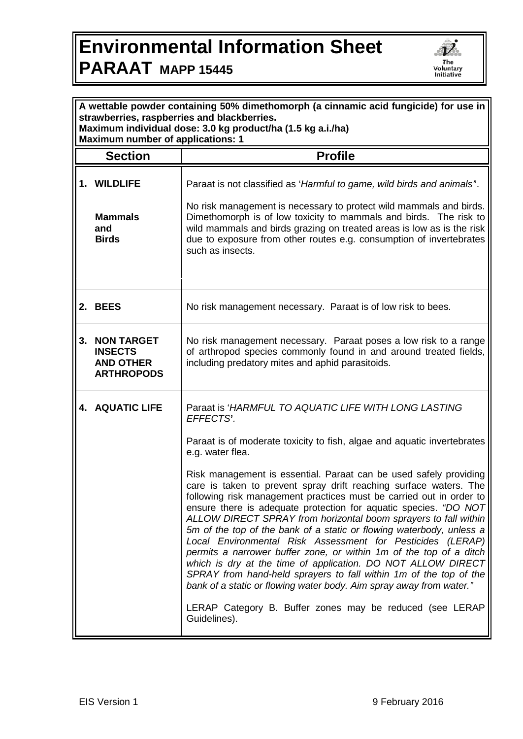## **Environmental Information Sheet PARAAT MAPP 15445**



| A wettable powder containing 50% dimethomorph (a cinnamic acid fungicide) for use in<br>strawberries, raspberries and blackberries.<br>Maximum individual dose: 3.0 kg product/ha (1.5 kg a.i./ha)<br><b>Maximum number of applications: 1</b> |                                                                                 |                                                                                                                                                                                                                                                                                                                                                                                                                                                                                                                                                                                                                                                                                                                                                                              |  |
|------------------------------------------------------------------------------------------------------------------------------------------------------------------------------------------------------------------------------------------------|---------------------------------------------------------------------------------|------------------------------------------------------------------------------------------------------------------------------------------------------------------------------------------------------------------------------------------------------------------------------------------------------------------------------------------------------------------------------------------------------------------------------------------------------------------------------------------------------------------------------------------------------------------------------------------------------------------------------------------------------------------------------------------------------------------------------------------------------------------------------|--|
| <b>Section</b>                                                                                                                                                                                                                                 |                                                                                 | <b>Profile</b>                                                                                                                                                                                                                                                                                                                                                                                                                                                                                                                                                                                                                                                                                                                                                               |  |
|                                                                                                                                                                                                                                                |                                                                                 |                                                                                                                                                                                                                                                                                                                                                                                                                                                                                                                                                                                                                                                                                                                                                                              |  |
|                                                                                                                                                                                                                                                | 1. WILDLIFE                                                                     | Paraat is not classified as 'Harmful to game, wild birds and animals'.                                                                                                                                                                                                                                                                                                                                                                                                                                                                                                                                                                                                                                                                                                       |  |
|                                                                                                                                                                                                                                                | <b>Mammals</b><br>and<br><b>Birds</b>                                           | No risk management is necessary to protect wild mammals and birds.<br>Dimethomorph is of low toxicity to mammals and birds. The risk to<br>wild mammals and birds grazing on treated areas is low as is the risk<br>due to exposure from other routes e.g. consumption of invertebrates<br>such as insects.                                                                                                                                                                                                                                                                                                                                                                                                                                                                  |  |
|                                                                                                                                                                                                                                                | 2. BEES                                                                         | No risk management necessary. Paraat is of low risk to bees.                                                                                                                                                                                                                                                                                                                                                                                                                                                                                                                                                                                                                                                                                                                 |  |
|                                                                                                                                                                                                                                                | <b>3. NON TARGET</b><br><b>INSECTS</b><br><b>AND OTHER</b><br><b>ARTHROPODS</b> | No risk management necessary. Paraat poses a low risk to a range<br>of arthropod species commonly found in and around treated fields,<br>including predatory mites and aphid parasitoids.                                                                                                                                                                                                                                                                                                                                                                                                                                                                                                                                                                                    |  |
|                                                                                                                                                                                                                                                | 4. AQUATIC LIFE                                                                 | Paraat is 'HARMFUL TO AQUATIC LIFE WITH LONG LASTING<br>EFFECTS'.                                                                                                                                                                                                                                                                                                                                                                                                                                                                                                                                                                                                                                                                                                            |  |
|                                                                                                                                                                                                                                                |                                                                                 | Paraat is of moderate toxicity to fish, algae and aquatic invertebrates<br>e.g. water flea.                                                                                                                                                                                                                                                                                                                                                                                                                                                                                                                                                                                                                                                                                  |  |
|                                                                                                                                                                                                                                                |                                                                                 | Risk management is essential. Paraat can be used safely providing<br>care is taken to prevent spray drift reaching surface waters. The<br>following risk management practices must be carried out in order to<br>ensure there is adequate protection for aquatic species. "DO NOT<br>ALLOW DIRECT SPRAY from horizontal boom sprayers to fall within<br>5m of the top of the bank of a static or flowing waterbody, unless a<br>Local Environmental Risk Assessment for Pesticides (LERAP)<br>permits a narrower buffer zone, or within 1m of the top of a ditch<br>which is dry at the time of application. DO NOT ALLOW DIRECT<br>SPRAY from hand-held sprayers to fall within 1m of the top of the<br>bank of a static or flowing water body. Aim spray away from water." |  |
|                                                                                                                                                                                                                                                |                                                                                 | LERAP Category B. Buffer zones may be reduced (see LERAP<br>Guidelines).                                                                                                                                                                                                                                                                                                                                                                                                                                                                                                                                                                                                                                                                                                     |  |